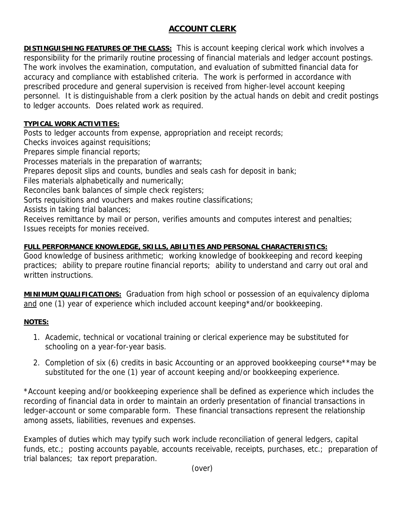## **ACCOUNT CLERK**

**DISTINGUISHING FEATURES OF THE CLASS:** This is account keeping clerical work which involves a responsibility for the primarily routine processing of financial materials and ledger account postings. The work involves the examination, computation, and evaluation of submitted financial data for accuracy and compliance with established criteria. The work is performed in accordance with prescribed procedure and general supervision is received from higher-level account keeping personnel. It is distinguishable from a clerk position by the actual hands on debit and credit postings to ledger accounts. Does related work as required.

## **TYPICAL WORK ACTIVITIES:**

Posts to ledger accounts from expense, appropriation and receipt records;

Checks invoices against requisitions;

Prepares simple financial reports;

Processes materials in the preparation of warrants;

Prepares deposit slips and counts, bundles and seals cash for deposit in bank;

Files materials alphabetically and numerically;

Reconciles bank balances of simple check registers;

Sorts requisitions and vouchers and makes routine classifications;

Assists in taking trial balances;

Receives remittance by mail or person, verifies amounts and computes interest and penalties; Issues receipts for monies received.

## **FULL PERFORMANCE KNOWLEDGE, SKILLS, ABILITIES AND PERSONAL CHARACTERISTICS:**

Good knowledge of business arithmetic; working knowledge of bookkeeping and record keeping practices; ability to prepare routine financial reports; ability to understand and carry out oral and written instructions.

**MINIMUM QUALIFICATIONS:** Graduation from high school or possession of an equivalency diploma and one (1) year of experience which included account keeping\*and/or bookkeeping.

## **NOTES:**

- 1. Academic, technical or vocational training or clerical experience may be substituted for schooling on a year-for-year basis.
- 2. Completion of six (6) credits in basic Accounting or an approved bookkeeping course\*\*may be substituted for the one (1) year of account keeping and/or bookkeeping experience.

\*Account keeping and/or bookkeeping experience shall be defined as experience which includes the recording of financial data in order to maintain an orderly presentation of financial transactions in ledger-account or some comparable form. These financial transactions represent the relationship among assets, liabilities, revenues and expenses.

Examples of duties which may typify such work include reconciliation of general ledgers, capital funds, etc.; posting accounts payable, accounts receivable, receipts, purchases, etc.; preparation of trial balances; tax report preparation.

(over)